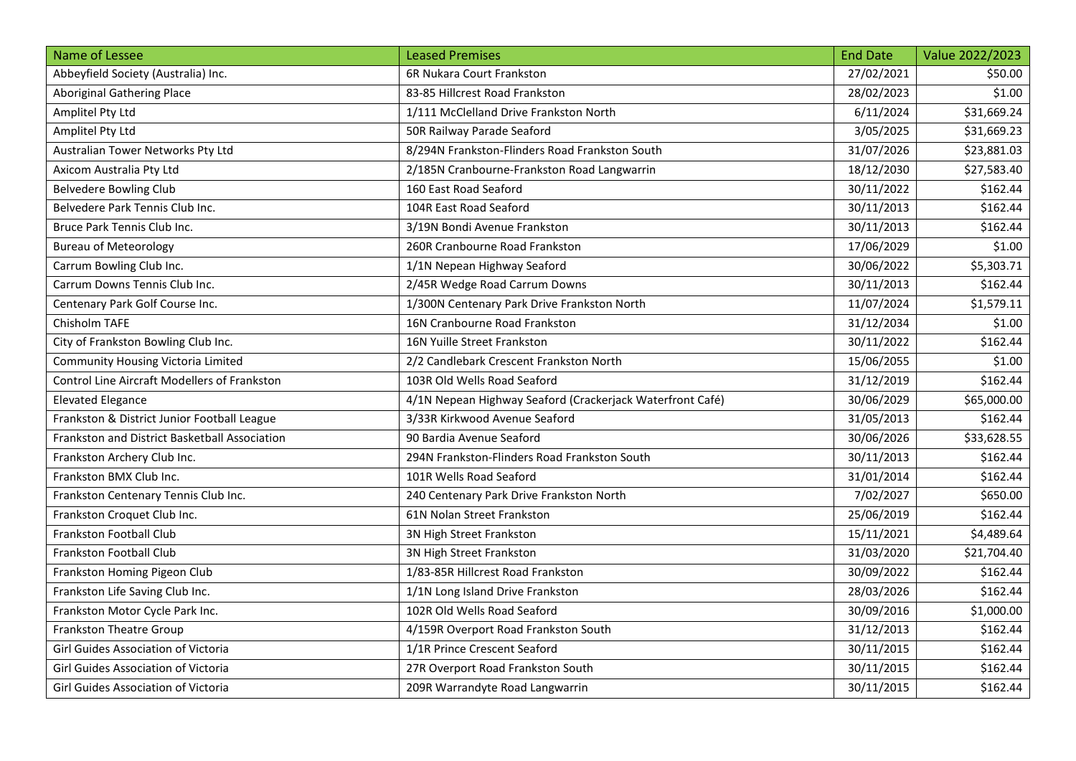| Name of Lessee                                      | <b>Leased Premises</b>                                    | <b>End Date</b> | Value 2022/2023 |
|-----------------------------------------------------|-----------------------------------------------------------|-----------------|-----------------|
| Abbeyfield Society (Australia) Inc.                 | 6R Nukara Court Frankston                                 | 27/02/2021      | \$50.00         |
| <b>Aboriginal Gathering Place</b>                   | 83-85 Hillcrest Road Frankston                            | 28/02/2023      | \$1.00          |
| Amplitel Pty Ltd                                    | 1/111 McClelland Drive Frankston North                    | 6/11/2024       | \$31,669.24     |
| Amplitel Pty Ltd                                    | 50R Railway Parade Seaford                                | 3/05/2025       | \$31,669.23     |
| Australian Tower Networks Pty Ltd                   | 8/294N Frankston-Flinders Road Frankston South            | 31/07/2026      | \$23,881.03     |
| Axicom Australia Pty Ltd                            | 2/185N Cranbourne-Frankston Road Langwarrin               | 18/12/2030      | \$27,583.40     |
| <b>Belvedere Bowling Club</b>                       | 160 East Road Seaford                                     | 30/11/2022      | \$162.44        |
| Belvedere Park Tennis Club Inc.                     | 104R East Road Seaford                                    | 30/11/2013      | \$162.44        |
| Bruce Park Tennis Club Inc.                         | 3/19N Bondi Avenue Frankston                              | 30/11/2013      | \$162.44        |
| <b>Bureau of Meteorology</b>                        | 260R Cranbourne Road Frankston                            | 17/06/2029      | \$1.00          |
| Carrum Bowling Club Inc.                            | 1/1N Nepean Highway Seaford                               | 30/06/2022      | \$5,303.71      |
| Carrum Downs Tennis Club Inc.                       | 2/45R Wedge Road Carrum Downs                             | 30/11/2013      | \$162.44        |
| Centenary Park Golf Course Inc.                     | 1/300N Centenary Park Drive Frankston North               | 11/07/2024      | \$1,579.11      |
| Chisholm TAFE                                       | 16N Cranbourne Road Frankston                             | 31/12/2034      | \$1.00          |
| City of Frankston Bowling Club Inc.                 | 16N Yuille Street Frankston                               | 30/11/2022      | \$162.44        |
| Community Housing Victoria Limited                  | 2/2 Candlebark Crescent Frankston North                   | 15/06/2055      | \$1.00          |
| <b>Control Line Aircraft Modellers of Frankston</b> | 103R Old Wells Road Seaford                               | 31/12/2019      | \$162.44        |
| <b>Elevated Elegance</b>                            | 4/1N Nepean Highway Seaford (Crackerjack Waterfront Café) | 30/06/2029      | \$65,000.00     |
| Frankston & District Junior Football League         | 3/33R Kirkwood Avenue Seaford                             | 31/05/2013      | \$162.44        |
| Frankston and District Basketball Association       | 90 Bardia Avenue Seaford                                  | 30/06/2026      | \$33,628.55     |
| Frankston Archery Club Inc.                         | 294N Frankston-Flinders Road Frankston South              | 30/11/2013      | \$162.44        |
| Frankston BMX Club Inc.                             | 101R Wells Road Seaford                                   | 31/01/2014      | \$162.44        |
| Frankston Centenary Tennis Club Inc.                | 240 Centenary Park Drive Frankston North                  | 7/02/2027       | \$650.00        |
| Frankston Croquet Club Inc.                         | 61N Nolan Street Frankston                                | 25/06/2019      | \$162.44        |
| Frankston Football Club                             | 3N High Street Frankston                                  | 15/11/2021      | \$4,489.64      |
| Frankston Football Club                             | 3N High Street Frankston                                  | 31/03/2020      | \$21,704.40     |
| Frankston Homing Pigeon Club                        | 1/83-85R Hillcrest Road Frankston                         | 30/09/2022      | \$162.44        |
| Frankston Life Saving Club Inc.                     | 1/1N Long Island Drive Frankston                          | 28/03/2026      | \$162.44        |
| Frankston Motor Cycle Park Inc.                     | 102R Old Wells Road Seaford                               | 30/09/2016      | \$1,000.00      |
| <b>Frankston Theatre Group</b>                      | 4/159R Overport Road Frankston South                      | 31/12/2013      | \$162.44        |
| Girl Guides Association of Victoria                 | 1/1R Prince Crescent Seaford                              | 30/11/2015      | \$162.44        |
| Girl Guides Association of Victoria                 | 27R Overport Road Frankston South                         | 30/11/2015      | \$162.44        |
| Girl Guides Association of Victoria                 | 209R Warrandyte Road Langwarrin                           | 30/11/2015      | \$162.44        |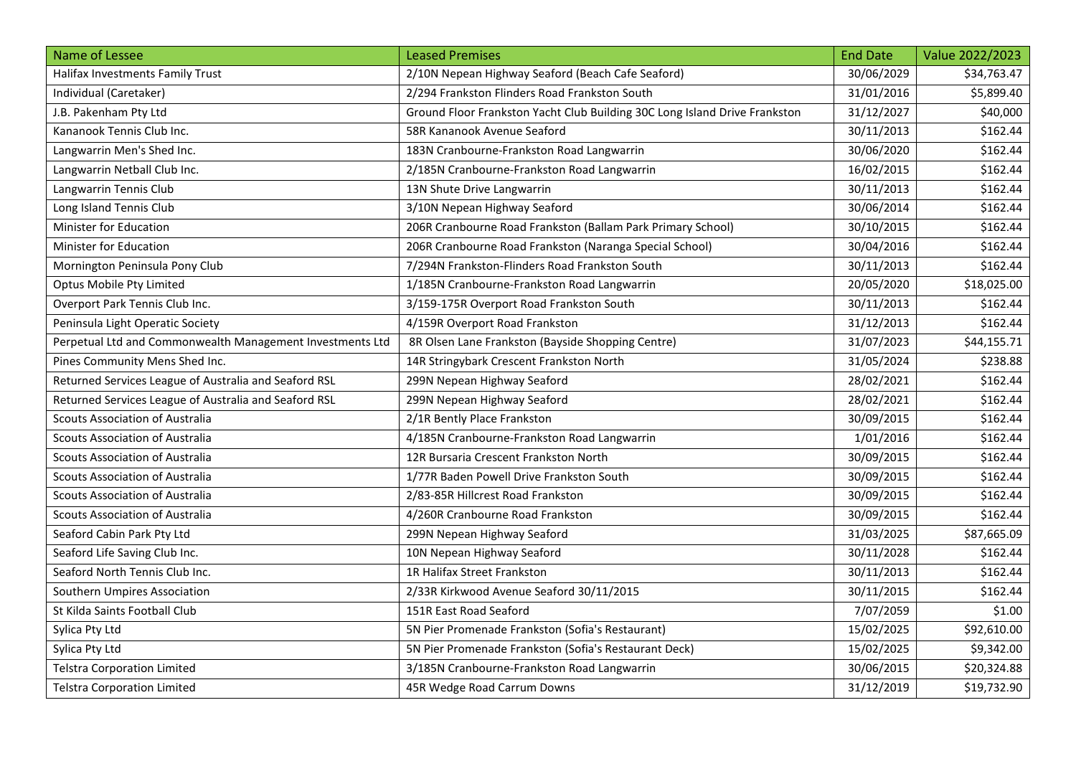| Name of Lessee                                            | <b>Leased Premises</b>                                                     | <b>End Date</b> | Value 2022/2023 |
|-----------------------------------------------------------|----------------------------------------------------------------------------|-----------------|-----------------|
| Halifax Investments Family Trust                          | 2/10N Nepean Highway Seaford (Beach Cafe Seaford)                          | 30/06/2029      | \$34,763.47     |
| Individual (Caretaker)                                    | 2/294 Frankston Flinders Road Frankston South                              | 31/01/2016      | \$5,899.40      |
| J.B. Pakenham Pty Ltd                                     | Ground Floor Frankston Yacht Club Building 30C Long Island Drive Frankston | 31/12/2027      | \$40,000        |
| Kananook Tennis Club Inc.                                 | 58R Kananook Avenue Seaford                                                | 30/11/2013      | \$162.44        |
| Langwarrin Men's Shed Inc.                                | 183N Cranbourne-Frankston Road Langwarrin                                  | 30/06/2020      | \$162.44        |
| Langwarrin Netball Club Inc.                              | 2/185N Cranbourne-Frankston Road Langwarrin                                | 16/02/2015      | \$162.44        |
| Langwarrin Tennis Club                                    | 13N Shute Drive Langwarrin                                                 | 30/11/2013      | \$162.44        |
| Long Island Tennis Club                                   | 3/10N Nepean Highway Seaford                                               | 30/06/2014      | \$162.44        |
| Minister for Education                                    | 206R Cranbourne Road Frankston (Ballam Park Primary School)                | 30/10/2015      | \$162.44        |
| Minister for Education                                    | 206R Cranbourne Road Frankston (Naranga Special School)                    | 30/04/2016      | \$162.44        |
| Mornington Peninsula Pony Club                            | 7/294N Frankston-Flinders Road Frankston South                             | 30/11/2013      | \$162.44        |
| Optus Mobile Pty Limited                                  | 1/185N Cranbourne-Frankston Road Langwarrin                                | 20/05/2020      | \$18,025.00     |
| Overport Park Tennis Club Inc.                            | 3/159-175R Overport Road Frankston South                                   | 30/11/2013      | \$162.44        |
| Peninsula Light Operatic Society                          | 4/159R Overport Road Frankston                                             | 31/12/2013      | \$162.44        |
| Perpetual Ltd and Commonwealth Management Investments Ltd | 8R Olsen Lane Frankston (Bayside Shopping Centre)                          | 31/07/2023      | \$44,155.71     |
| Pines Community Mens Shed Inc.                            | 14R Stringybark Crescent Frankston North                                   | 31/05/2024      | \$238.88        |
| Returned Services League of Australia and Seaford RSL     | 299N Nepean Highway Seaford                                                | 28/02/2021      | \$162.44        |
| Returned Services League of Australia and Seaford RSL     | 299N Nepean Highway Seaford                                                | 28/02/2021      | \$162.44        |
| <b>Scouts Association of Australia</b>                    | 2/1R Bently Place Frankston                                                | 30/09/2015      | \$162.44        |
| <b>Scouts Association of Australia</b>                    | 4/185N Cranbourne-Frankston Road Langwarrin                                | 1/01/2016       | \$162.44        |
| Scouts Association of Australia                           | 12R Bursaria Crescent Frankston North                                      | 30/09/2015      | \$162.44        |
| <b>Scouts Association of Australia</b>                    | 1/77R Baden Powell Drive Frankston South                                   | 30/09/2015      | \$162.44        |
| <b>Scouts Association of Australia</b>                    | 2/83-85R Hillcrest Road Frankston                                          | 30/09/2015      | \$162.44        |
| <b>Scouts Association of Australia</b>                    | 4/260R Cranbourne Road Frankston                                           | 30/09/2015      | \$162.44        |
| Seaford Cabin Park Pty Ltd                                | 299N Nepean Highway Seaford                                                | 31/03/2025      | \$87,665.09     |
| Seaford Life Saving Club Inc.                             | 10N Nepean Highway Seaford                                                 | 30/11/2028      | \$162.44        |
| Seaford North Tennis Club Inc.                            | 1R Halifax Street Frankston                                                | 30/11/2013      | \$162.44        |
| Southern Umpires Association                              | 2/33R Kirkwood Avenue Seaford 30/11/2015                                   | 30/11/2015      | \$162.44        |
| St Kilda Saints Football Club                             | 151R East Road Seaford                                                     | 7/07/2059       | \$1.00          |
| Sylica Pty Ltd                                            | 5N Pier Promenade Frankston (Sofia's Restaurant)                           | 15/02/2025      | \$92,610.00     |
| Sylica Pty Ltd                                            | 5N Pier Promenade Frankston (Sofia's Restaurant Deck)                      | 15/02/2025      | \$9,342.00      |
| <b>Telstra Corporation Limited</b>                        | 3/185N Cranbourne-Frankston Road Langwarrin                                | 30/06/2015      | \$20,324.88     |
| <b>Telstra Corporation Limited</b>                        | 45R Wedge Road Carrum Downs                                                | 31/12/2019      | \$19,732.90     |